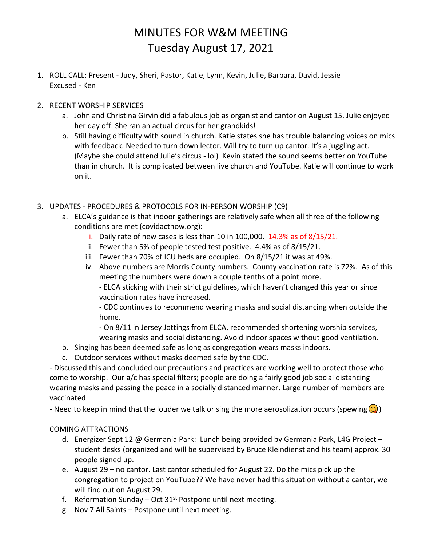## MINUTES FOR W&M MEETING Tuesday August 17, 2021

- 1. ROLL CALL: Present Judy, Sheri, Pastor, Katie, Lynn, Kevin, Julie, Barbara, David, Jessie Excused - Ken
- 2. RECENT WORSHIP SERVICES
	- a. John and Christina Girvin did a fabulous job as organist and cantor on August 15. Julie enjoyed her day off. She ran an actual circus for her grandkids!
	- b. Still having difficulty with sound in church. Katie states she has trouble balancing voices on mics with feedback. Needed to turn down lector. Will try to turn up cantor. It's a juggling act. (Maybe she could attend Julie's circus - lol) Kevin stated the sound seems better on YouTube than in church. It is complicated between live church and YouTube. Katie will continue to work on it.
- 3. UPDATES PROCEDURES & PROTOCOLS FOR IN-PERSON WORSHIP (C9)
	- a. ELCA's guidance is that indoor gatherings are relatively safe when all three of the following conditions are met (covidactnow.org):
		- i. Daily rate of new cases is less than 10 in 100,000.  $14.3\%$  as of  $8/15/21$ .
		- ii. Fewer than 5% of people tested test positive. 4.4% as of 8/15/21.
		- iii. Fewer than 70% of ICU beds are occupied. On 8/15/21 it was at 49%.
		- iv. Above numbers are Morris County numbers. County vaccination rate is 72%. As of this meeting the numbers were down a couple tenths of a point more.

- ELCA sticking with their strict guidelines, which haven't changed this year or since vaccination rates have increased.

- CDC continues to recommend wearing masks and social distancing when outside the home.

- On 8/11 in Jersey Jottings from ELCA, recommended shortening worship services, wearing masks and social distancing. Avoid indoor spaces without good ventilation.

- b. Singing has been deemed safe as long as congregation wears masks indoors.
- c. Outdoor services without masks deemed safe by the CDC.

- Discussed this and concluded our precautions and practices are working well to protect those who come to worship. Our a/c has special filters; people are doing a fairly good job social distancing wearing masks and passing the peace in a socially distanced manner. Large number of members are vaccinated

- Need to keep in mind that the louder we talk or sing the more aerosolization occurs (spewing  $\circled{c}$ )

## COMING ATTRACTIONS

- d. Energizer Sept 12 @ Germania Park: Lunch being provided by Germania Park, L4G Project student desks (organized and will be supervised by Bruce Kleindienst and his team) approx. 30 people signed up.
- e. August 29 no cantor. Last cantor scheduled for August 22. Do the mics pick up the congregation to project on YouTube?? We have never had this situation without a cantor, we will find out on August 29.
- f. Reformation Sunday Oct  $31^{st}$  Postpone until next meeting.
- g. Nov 7 All Saints Postpone until next meeting.